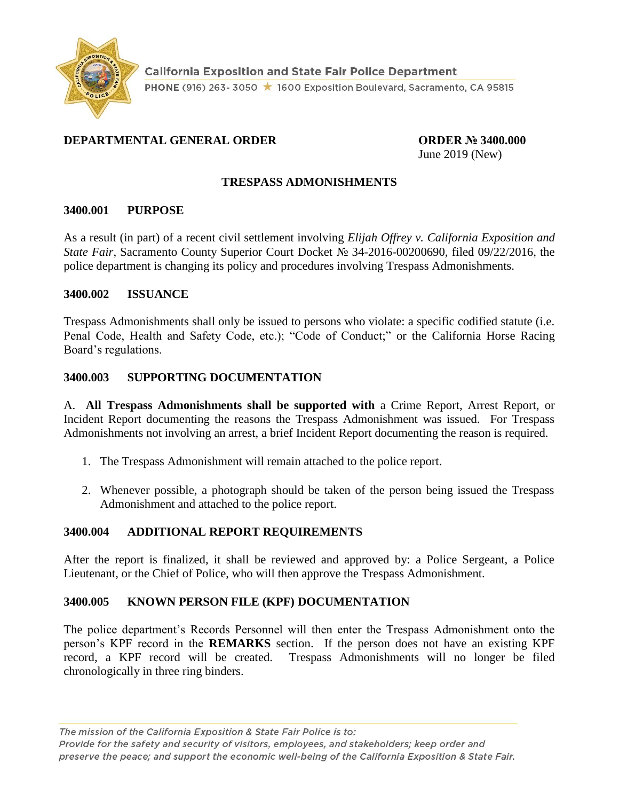

# **DEPARTMENTAL GENERAL ORDER ORDER № 3400.000**

June 2019 (New)

# **TRESPASS ADMONISHMENTS**

### **3400.001 PURPOSE**

As a result (in part) of a recent civil settlement involving *Elijah Offrey v. California Exposition and State Fair*, Sacramento County Superior Court Docket № 34-2016-00200690, filed 09/22/2016, the police department is changing its policy and procedures involving Trespass Admonishments.

### **3400.002 ISSUANCE**

Trespass Admonishments shall only be issued to persons who violate: a specific codified statute (i.e. Penal Code, Health and Safety Code, etc.); "Code of Conduct;" or the California Horse Racing Board's regulations.

### **3400.003 SUPPORTING DOCUMENTATION**

A. **All Trespass Admonishments shall be supported with** a Crime Report, Arrest Report, or Incident Report documenting the reasons the Trespass Admonishment was issued. For Trespass Admonishments not involving an arrest, a brief Incident Report documenting the reason is required.

- 1. The Trespass Admonishment will remain attached to the police report.
- 2. Whenever possible, a photograph should be taken of the person being issued the Trespass Admonishment and attached to the police report.

# **3400.004 ADDITIONAL REPORT REQUIREMENTS**

After the report is finalized, it shall be reviewed and approved by: a Police Sergeant, a Police Lieutenant, or the Chief of Police, who will then approve the Trespass Admonishment.

#### **3400.005 KNOWN PERSON FILE (KPF) DOCUMENTATION**

The police department's Records Personnel will then enter the Trespass Admonishment onto the person's KPF record in the **REMARKS** section. If the person does not have an existing KPF record, a KPF record will be created. Trespass Admonishments will no longer be filed chronologically in three ring binders.